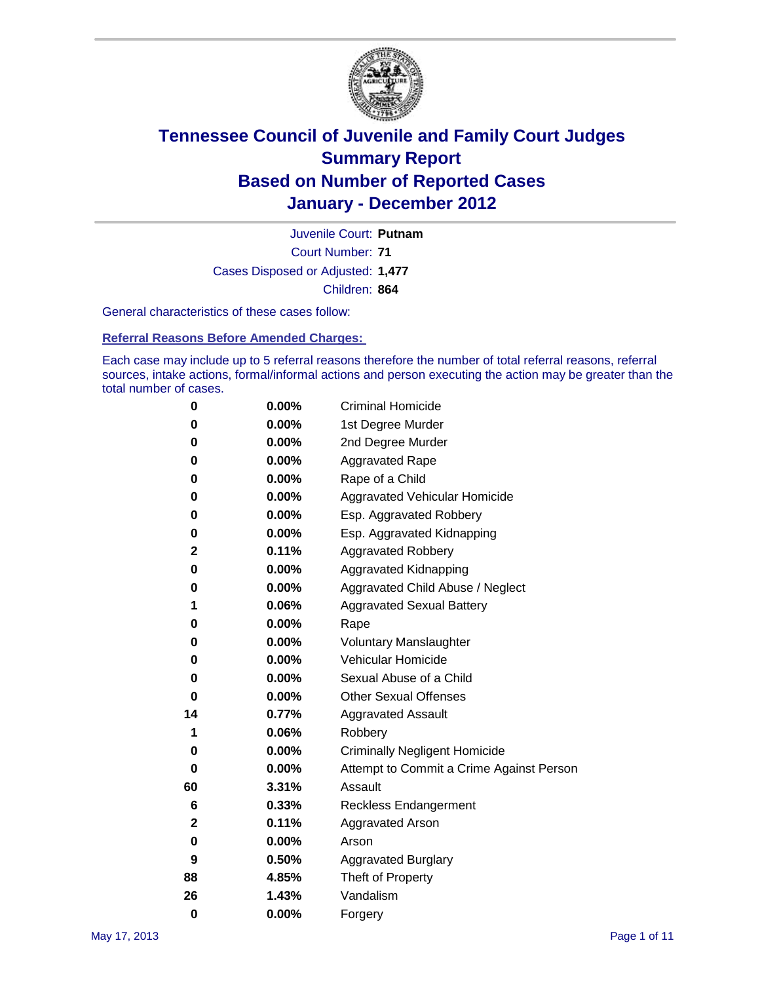

Court Number: **71** Juvenile Court: **Putnam** Cases Disposed or Adjusted: **1,477** Children: **864**

General characteristics of these cases follow:

**Referral Reasons Before Amended Charges:** 

Each case may include up to 5 referral reasons therefore the number of total referral reasons, referral sources, intake actions, formal/informal actions and person executing the action may be greater than the total number of cases.

| 0  | 0.00%    | <b>Criminal Homicide</b>                 |  |  |  |
|----|----------|------------------------------------------|--|--|--|
| 0  | 0.00%    | 1st Degree Murder                        |  |  |  |
| 0  | 0.00%    | 2nd Degree Murder                        |  |  |  |
| 0  | 0.00%    | <b>Aggravated Rape</b>                   |  |  |  |
| 0  | 0.00%    | Rape of a Child                          |  |  |  |
| 0  | 0.00%    | Aggravated Vehicular Homicide            |  |  |  |
| 0  | 0.00%    | Esp. Aggravated Robbery                  |  |  |  |
| 0  | 0.00%    | Esp. Aggravated Kidnapping               |  |  |  |
| 2  | 0.11%    | <b>Aggravated Robbery</b>                |  |  |  |
| 0  | 0.00%    | Aggravated Kidnapping                    |  |  |  |
| 0  | 0.00%    | Aggravated Child Abuse / Neglect         |  |  |  |
| 1  | 0.06%    | <b>Aggravated Sexual Battery</b>         |  |  |  |
| 0  | 0.00%    | Rape                                     |  |  |  |
| 0  | $0.00\%$ | <b>Voluntary Manslaughter</b>            |  |  |  |
| 0  | 0.00%    | Vehicular Homicide                       |  |  |  |
| 0  | 0.00%    | Sexual Abuse of a Child                  |  |  |  |
| 0  | 0.00%    | <b>Other Sexual Offenses</b>             |  |  |  |
| 14 | 0.77%    | <b>Aggravated Assault</b>                |  |  |  |
| 1  | 0.06%    | Robbery                                  |  |  |  |
| 0  | 0.00%    | <b>Criminally Negligent Homicide</b>     |  |  |  |
| 0  | 0.00%    | Attempt to Commit a Crime Against Person |  |  |  |
| 60 | 3.31%    | Assault                                  |  |  |  |
| 6  | 0.33%    | <b>Reckless Endangerment</b>             |  |  |  |
| 2  | 0.11%    | <b>Aggravated Arson</b>                  |  |  |  |
| 0  | 0.00%    | Arson                                    |  |  |  |
| 9  | 0.50%    | <b>Aggravated Burglary</b>               |  |  |  |
| 88 | 4.85%    | Theft of Property                        |  |  |  |
| 26 | 1.43%    | Vandalism                                |  |  |  |
| 0  | 0.00%    | Forgery                                  |  |  |  |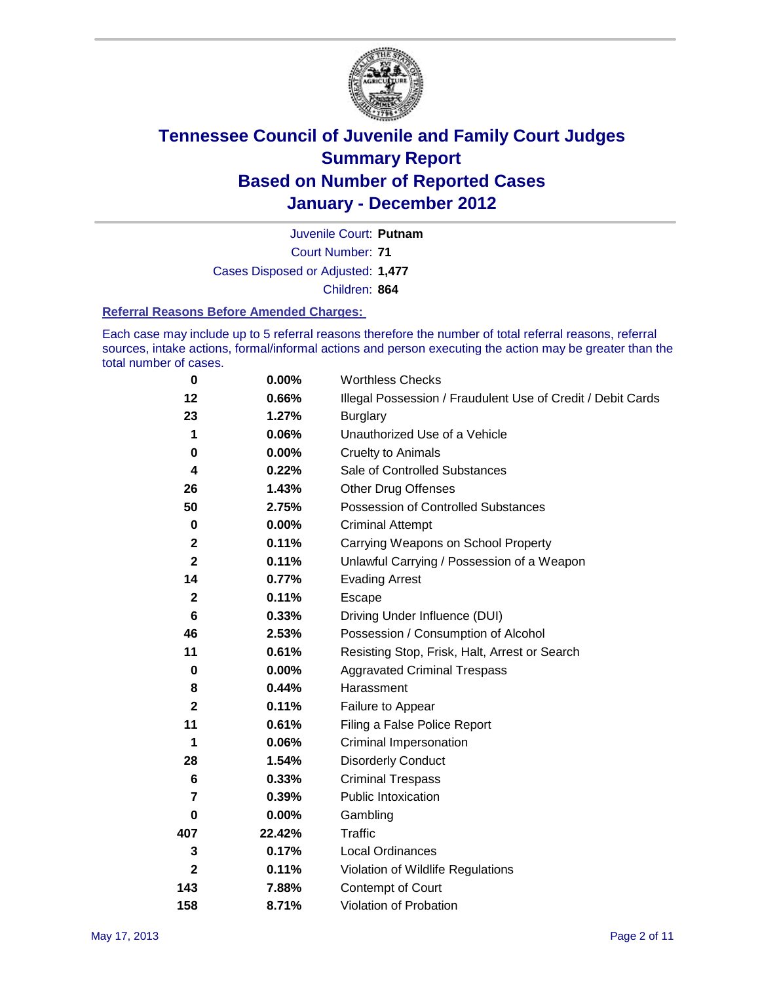

Court Number: **71** Juvenile Court: **Putnam** Cases Disposed or Adjusted: **1,477** Children: **864**

#### **Referral Reasons Before Amended Charges:**

Each case may include up to 5 referral reasons therefore the number of total referral reasons, referral sources, intake actions, formal/informal actions and person executing the action may be greater than the total number of cases.

| $\bf{0}$                | 0.00%    | <b>Worthless Checks</b>                                     |
|-------------------------|----------|-------------------------------------------------------------|
| 12                      | 0.66%    | Illegal Possession / Fraudulent Use of Credit / Debit Cards |
| 23                      | 1.27%    | <b>Burglary</b>                                             |
| 1                       | 0.06%    | Unauthorized Use of a Vehicle                               |
| 0                       | $0.00\%$ | <b>Cruelty to Animals</b>                                   |
| 4                       | 0.22%    | Sale of Controlled Substances                               |
| 26                      | 1.43%    | <b>Other Drug Offenses</b>                                  |
| 50                      | 2.75%    | Possession of Controlled Substances                         |
| $\pmb{0}$               | $0.00\%$ | <b>Criminal Attempt</b>                                     |
| $\mathbf 2$             | 0.11%    | Carrying Weapons on School Property                         |
| $\overline{\mathbf{2}}$ | 0.11%    | Unlawful Carrying / Possession of a Weapon                  |
| 14                      | 0.77%    | <b>Evading Arrest</b>                                       |
| $\mathbf{2}$            | 0.11%    | Escape                                                      |
| 6                       | 0.33%    | Driving Under Influence (DUI)                               |
| 46                      | 2.53%    | Possession / Consumption of Alcohol                         |
| 11                      | 0.61%    | Resisting Stop, Frisk, Halt, Arrest or Search               |
| $\mathbf 0$             | $0.00\%$ | <b>Aggravated Criminal Trespass</b>                         |
| 8                       | 0.44%    | Harassment                                                  |
| $\mathbf{2}$            | 0.11%    | Failure to Appear                                           |
| 11                      | 0.61%    | Filing a False Police Report                                |
| 1                       | 0.06%    | Criminal Impersonation                                      |
| 28                      | 1.54%    | <b>Disorderly Conduct</b>                                   |
| 6                       | 0.33%    | <b>Criminal Trespass</b>                                    |
| 7                       | 0.39%    | <b>Public Intoxication</b>                                  |
| 0                       | 0.00%    | Gambling                                                    |
| 407                     | 22.42%   | <b>Traffic</b>                                              |
| 3                       | 0.17%    | <b>Local Ordinances</b>                                     |
| $\mathbf{2}$            | 0.11%    | Violation of Wildlife Regulations                           |
| 143                     | 7.88%    | Contempt of Court                                           |
| 158                     | 8.71%    | Violation of Probation                                      |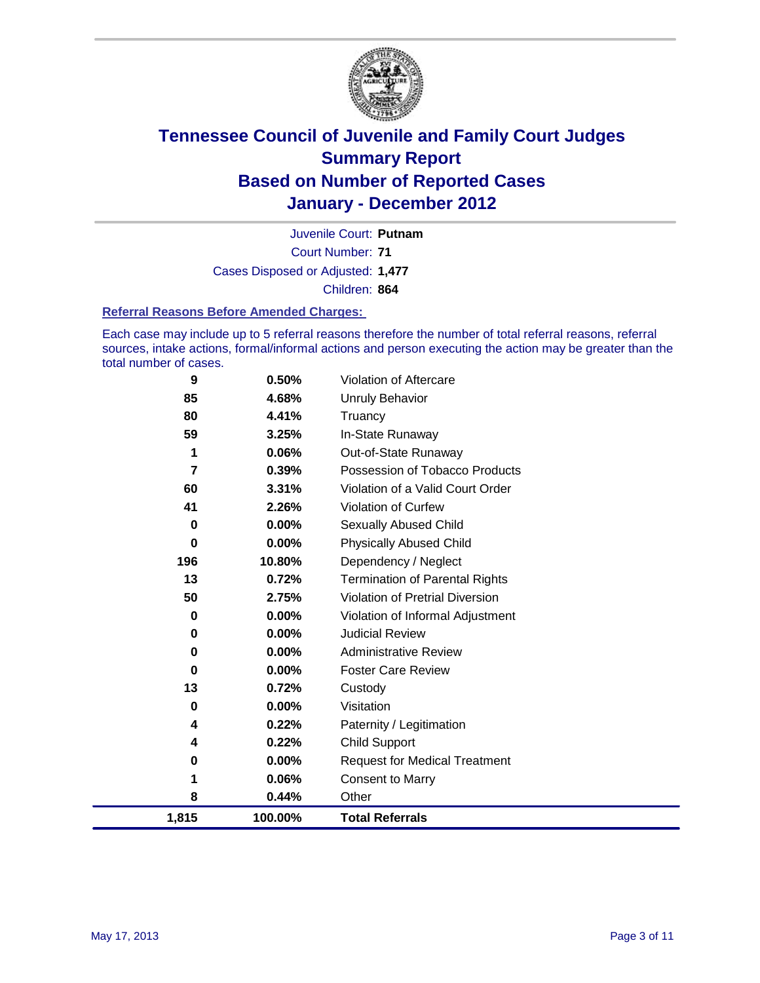

Court Number: **71** Juvenile Court: **Putnam** Cases Disposed or Adjusted: **1,477** Children: **864**

#### **Referral Reasons Before Amended Charges:**

Each case may include up to 5 referral reasons therefore the number of total referral reasons, referral sources, intake actions, formal/informal actions and person executing the action may be greater than the total number of cases.

| 9     | 0.50%   | Violation of Aftercare                |
|-------|---------|---------------------------------------|
| 85    | 4.68%   | <b>Unruly Behavior</b>                |
| 80    | 4.41%   | Truancy                               |
| 59    | 3.25%   | In-State Runaway                      |
| 1     | 0.06%   | Out-of-State Runaway                  |
| 7     | 0.39%   | Possession of Tobacco Products        |
| 60    | 3.31%   | Violation of a Valid Court Order      |
| 41    | 2.26%   | <b>Violation of Curfew</b>            |
| 0     | 0.00%   | <b>Sexually Abused Child</b>          |
| 0     | 0.00%   | <b>Physically Abused Child</b>        |
| 196   | 10.80%  | Dependency / Neglect                  |
| 13    | 0.72%   | <b>Termination of Parental Rights</b> |
| 50    | 2.75%   | Violation of Pretrial Diversion       |
| 0     | 0.00%   | Violation of Informal Adjustment      |
| 0     | 0.00%   | <b>Judicial Review</b>                |
| 0     | 0.00%   | <b>Administrative Review</b>          |
| 0     | 0.00%   | <b>Foster Care Review</b>             |
| 13    | 0.72%   | Custody                               |
| 0     | 0.00%   | Visitation                            |
| 4     | 0.22%   | Paternity / Legitimation              |
| 4     | 0.22%   | <b>Child Support</b>                  |
| 0     | 0.00%   | <b>Request for Medical Treatment</b>  |
| 1     | 0.06%   | <b>Consent to Marry</b>               |
| 8     | 0.44%   | Other                                 |
| 1,815 | 100.00% | <b>Total Referrals</b>                |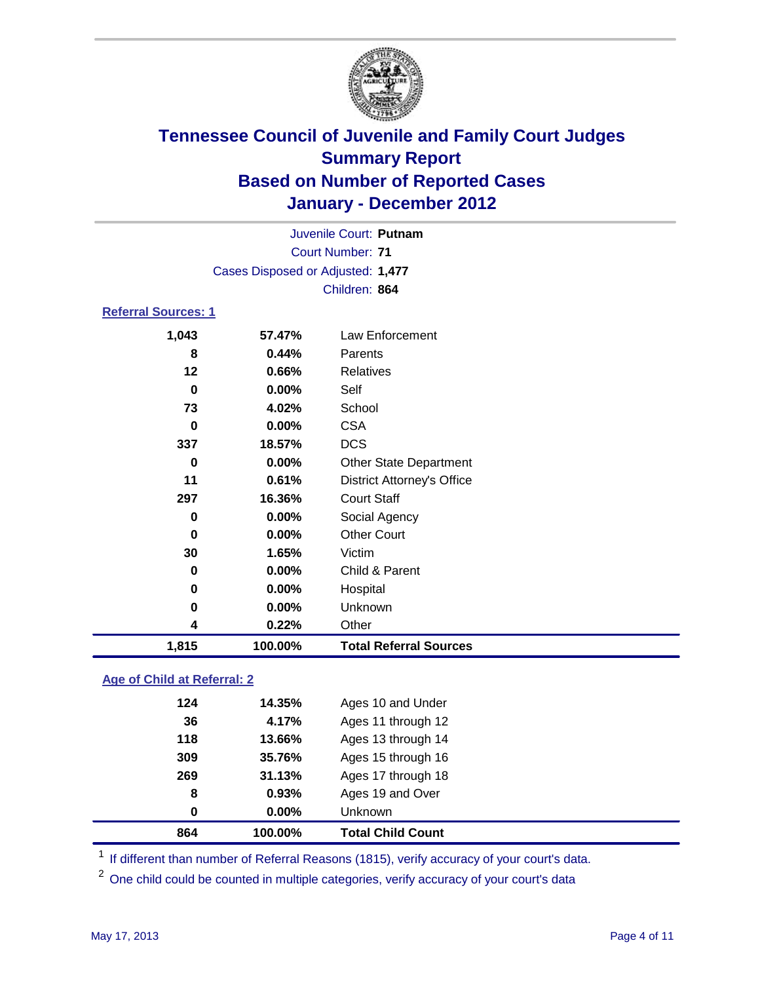

| Juvenile Court: Putnam            |          |                                   |  |  |
|-----------------------------------|----------|-----------------------------------|--|--|
| <b>Court Number: 71</b>           |          |                                   |  |  |
| Cases Disposed or Adjusted: 1,477 |          |                                   |  |  |
|                                   |          | Children: 864                     |  |  |
| Referral Sources: 1               |          |                                   |  |  |
| 1,043                             | 57.47%   | Law Enforcement                   |  |  |
| 8                                 | 0.44%    | Parents                           |  |  |
| 12                                | 0.66%    | Relatives                         |  |  |
| 0                                 | 0.00%    | Self                              |  |  |
| 73                                | 4.02%    | School                            |  |  |
| 0                                 | $0.00\%$ | <b>CSA</b>                        |  |  |
| 337                               | 18.57%   | <b>DCS</b>                        |  |  |
| 0                                 | $0.00\%$ | <b>Other State Department</b>     |  |  |
| 11                                | 0.61%    | <b>District Attorney's Office</b> |  |  |
| 297                               | 16.36%   | <b>Court Staff</b>                |  |  |
| 0                                 | $0.00\%$ | Social Agency                     |  |  |
| 0                                 | $0.00\%$ | <b>Other Court</b>                |  |  |
| 30                                | 1.65%    | Victim                            |  |  |
| 0                                 | 0.00%    | Child & Parent                    |  |  |
| 0                                 | 0.00%    | Hospital                          |  |  |

### **0.00%** Unknown **0.22%** Other **1,815 100.00% Total Referral Sources**

### **Age of Child at Referral: 2**

| 864 | 100.00%  | <b>Total Child Count</b> |
|-----|----------|--------------------------|
| 0   | $0.00\%$ | <b>Unknown</b>           |
| 8   | 0.93%    | Ages 19 and Over         |
| 269 | 31.13%   | Ages 17 through 18       |
| 309 | 35.76%   | Ages 15 through 16       |
| 118 | 13.66%   | Ages 13 through 14       |
| 36  | 4.17%    | Ages 11 through 12       |
| 124 | 14.35%   | Ages 10 and Under        |
|     |          |                          |

<sup>1</sup> If different than number of Referral Reasons (1815), verify accuracy of your court's data.

<sup>2</sup> One child could be counted in multiple categories, verify accuracy of your court's data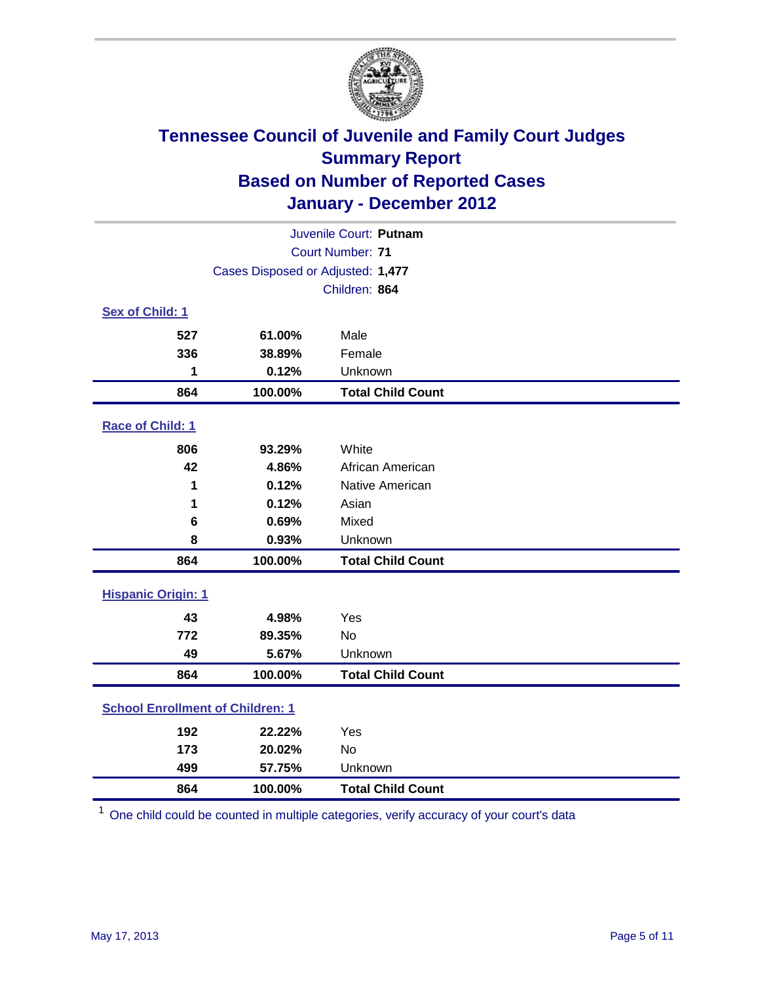

| Juvenile Court: Putnam                  |                                   |                          |  |  |  |
|-----------------------------------------|-----------------------------------|--------------------------|--|--|--|
|                                         | <b>Court Number: 71</b>           |                          |  |  |  |
|                                         | Cases Disposed or Adjusted: 1,477 |                          |  |  |  |
|                                         |                                   | Children: 864            |  |  |  |
| Sex of Child: 1                         |                                   |                          |  |  |  |
| 527                                     | 61.00%                            | Male                     |  |  |  |
| 336                                     | 38.89%                            | Female                   |  |  |  |
| 1                                       | 0.12%                             | Unknown                  |  |  |  |
| 864                                     | 100.00%                           | <b>Total Child Count</b> |  |  |  |
| Race of Child: 1                        |                                   |                          |  |  |  |
| 806                                     | 93.29%                            | White                    |  |  |  |
| 42                                      | 4.86%                             | African American         |  |  |  |
| 1                                       | 0.12%                             | Native American          |  |  |  |
| 1                                       | 0.12%                             | Asian                    |  |  |  |
| 6                                       | 0.69%                             | Mixed                    |  |  |  |
| 8                                       | 0.93%                             | Unknown                  |  |  |  |
| 864                                     | 100.00%                           | <b>Total Child Count</b> |  |  |  |
| <b>Hispanic Origin: 1</b>               |                                   |                          |  |  |  |
| 43                                      | 4.98%                             | Yes                      |  |  |  |
| 772                                     | 89.35%                            | No                       |  |  |  |
| 49                                      | 5.67%                             | Unknown                  |  |  |  |
| 864                                     | 100.00%                           | <b>Total Child Count</b> |  |  |  |
| <b>School Enrollment of Children: 1</b> |                                   |                          |  |  |  |
| 192                                     | 22.22%                            | Yes                      |  |  |  |
| 173                                     | 20.02%                            | <b>No</b>                |  |  |  |
| 499                                     | 57.75%                            | Unknown                  |  |  |  |
| 864                                     | 100.00%                           | <b>Total Child Count</b> |  |  |  |

One child could be counted in multiple categories, verify accuracy of your court's data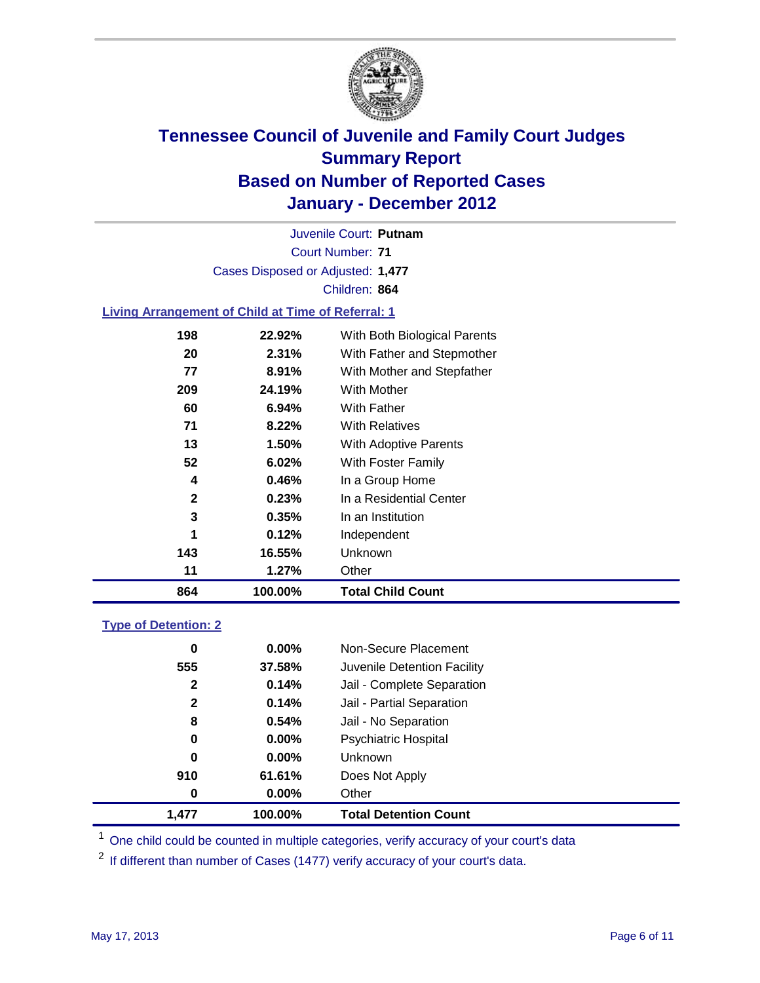

Court Number: **71** Juvenile Court: **Putnam** Cases Disposed or Adjusted: **1,477** Children: **864**

#### **Living Arrangement of Child at Time of Referral: 1**

| 864 | 100.00%  | <b>Total Child Count</b>     |
|-----|----------|------------------------------|
| 11  | 1.27%    | Other                        |
| 143 | 16.55%   | Unknown                      |
| 1   | 0.12%    | Independent                  |
| 3   | 0.35%    | In an Institution            |
| 2   | 0.23%    | In a Residential Center      |
| 4   | 0.46%    | In a Group Home              |
| 52  | 6.02%    | With Foster Family           |
| 13  | 1.50%    | With Adoptive Parents        |
| 71  | $8.22\%$ | <b>With Relatives</b>        |
| 60  | 6.94%    | <b>With Father</b>           |
| 209 | 24.19%   | With Mother                  |
| 77  | 8.91%    | With Mother and Stepfather   |
| 20  | 2.31%    | With Father and Stepmother   |
| 198 | 22.92%   | With Both Biological Parents |
|     |          |                              |

#### **Type of Detention: 2**

| 1.477            | 100.00%  | <b>Total Detention Count</b> |
|------------------|----------|------------------------------|
| $\boldsymbol{0}$ | $0.00\%$ | Other                        |
| 910              | 61.61%   | Does Not Apply               |
| 0                | $0.00\%$ | <b>Unknown</b>               |
| 0                | $0.00\%$ | <b>Psychiatric Hospital</b>  |
| 8                | 0.54%    | Jail - No Separation         |
| $\mathbf{2}$     | 0.14%    | Jail - Partial Separation    |
| 2                | 0.14%    | Jail - Complete Separation   |
| 555              | 37.58%   | Juvenile Detention Facility  |
| 0                | $0.00\%$ | Non-Secure Placement         |
|                  |          |                              |

<sup>1</sup> One child could be counted in multiple categories, verify accuracy of your court's data

<sup>2</sup> If different than number of Cases (1477) verify accuracy of your court's data.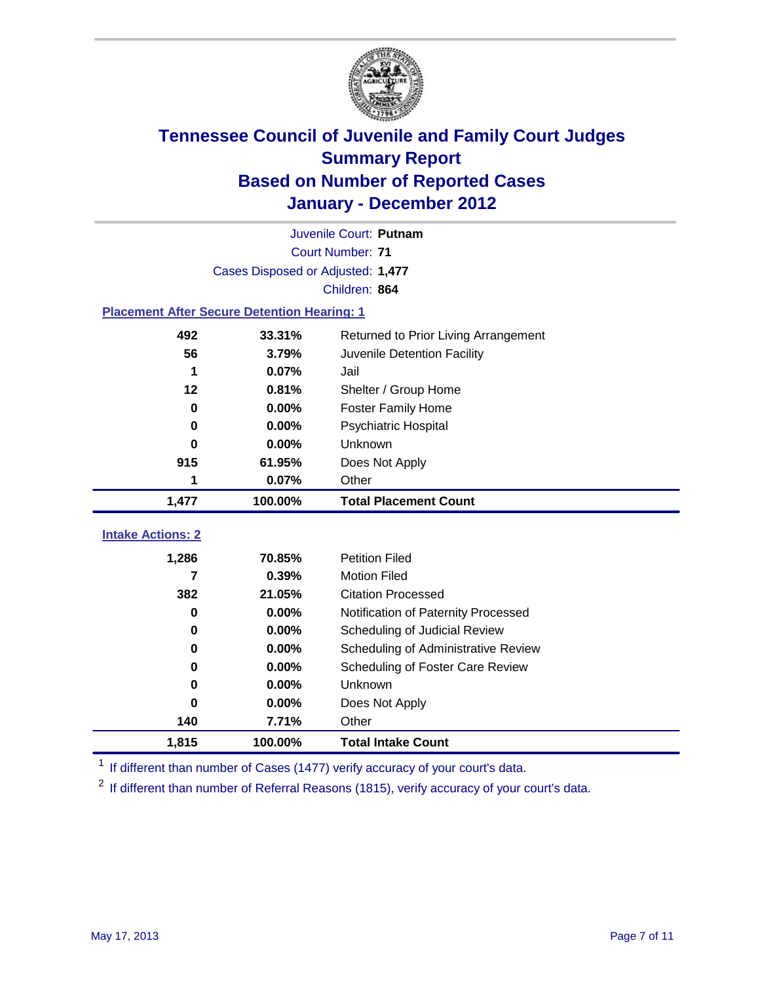

|                                                    | Juvenile Court: Putnam            |                                      |  |  |  |
|----------------------------------------------------|-----------------------------------|--------------------------------------|--|--|--|
|                                                    | <b>Court Number: 71</b>           |                                      |  |  |  |
|                                                    | Cases Disposed or Adjusted: 1,477 |                                      |  |  |  |
|                                                    |                                   | Children: 864                        |  |  |  |
| <b>Placement After Secure Detention Hearing: 1</b> |                                   |                                      |  |  |  |
| 492                                                | 33.31%                            | Returned to Prior Living Arrangement |  |  |  |
| 56                                                 | 3.79%                             | Juvenile Detention Facility          |  |  |  |
| 1                                                  | 0.07%                             | Jail                                 |  |  |  |
| 12                                                 | 0.81%                             | Shelter / Group Home                 |  |  |  |
| $\mathbf 0$                                        | 0.00%                             | Foster Family Home                   |  |  |  |
| 0                                                  | 0.00%                             | Psychiatric Hospital                 |  |  |  |
| 0                                                  | 0.00%                             | Unknown                              |  |  |  |
| 915                                                | 61.95%                            | Does Not Apply                       |  |  |  |
| 1                                                  | 0.07%                             | Other                                |  |  |  |
| 1,477                                              | 100.00%                           | <b>Total Placement Count</b>         |  |  |  |
| <b>Intake Actions: 2</b>                           |                                   |                                      |  |  |  |
|                                                    |                                   |                                      |  |  |  |
| 1,286                                              | 70.85%                            | <b>Petition Filed</b>                |  |  |  |
| 7                                                  | 0.39%                             | <b>Motion Filed</b>                  |  |  |  |
| 382                                                | 21.05%                            | <b>Citation Processed</b>            |  |  |  |
| $\bf{0}$                                           | 0.00%                             | Notification of Paternity Processed  |  |  |  |
| $\bf{0}$                                           | 0.00%                             | Scheduling of Judicial Review        |  |  |  |
| 0                                                  | 0.00%                             | Scheduling of Administrative Review  |  |  |  |
| 0                                                  | 0.00%                             | Scheduling of Foster Care Review     |  |  |  |
| 0                                                  | 0.00%                             | <b>Unknown</b>                       |  |  |  |
| 0                                                  | 0.00%                             | Does Not Apply                       |  |  |  |
| 140                                                | 7.71%                             | Other                                |  |  |  |
| 1,815                                              | 100.00%                           | <b>Total Intake Count</b>            |  |  |  |

<sup>1</sup> If different than number of Cases (1477) verify accuracy of your court's data.

<sup>2</sup> If different than number of Referral Reasons (1815), verify accuracy of your court's data.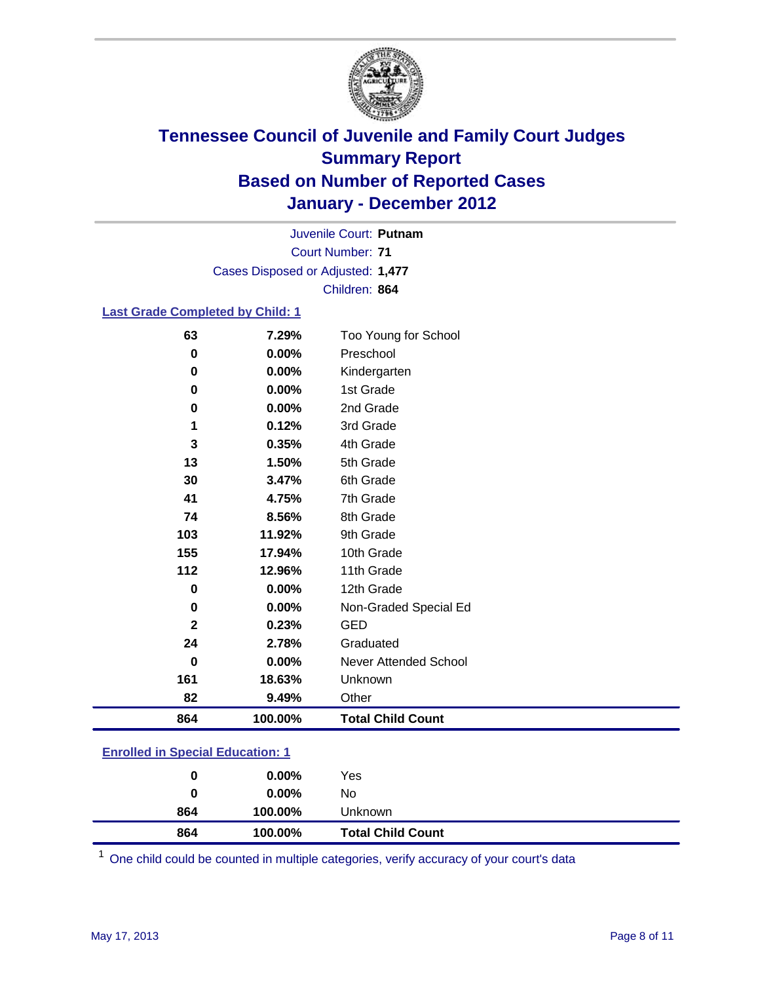

Court Number: **71** Juvenile Court: **Putnam** Cases Disposed or Adjusted: **1,477** Children: **864**

#### **Last Grade Completed by Child: 1**

| 864          | 100.00% | <b>Total Child Count</b>     |
|--------------|---------|------------------------------|
| 82           | 9.49%   | Other                        |
| 161          | 18.63%  | Unknown                      |
| 0            | 0.00%   | <b>Never Attended School</b> |
| 24           | 2.78%   | Graduated                    |
| $\mathbf{2}$ | 0.23%   | <b>GED</b>                   |
| 0            | 0.00%   | Non-Graded Special Ed        |
| 0            | 0.00%   | 12th Grade                   |
| 112          | 12.96%  | 11th Grade                   |
| 155          | 17.94%  | 10th Grade                   |
| 103          | 11.92%  | 9th Grade                    |
| 74           | 8.56%   | 8th Grade                    |
| 41           | 4.75%   | 7th Grade                    |
| 30           | 3.47%   | 6th Grade                    |
| 13           | 1.50%   | 5th Grade                    |
| 3            | 0.35%   | 4th Grade                    |
| 1            | 0.12%   | 3rd Grade                    |
| 0            | 0.00%   | 2nd Grade                    |
| 0            | 0.00%   | 1st Grade                    |
| 0            | 0.00%   | Kindergarten                 |
| 0            | 0.00%   | Preschool                    |
| 63           | 7.29%   | Too Young for School         |

### **Enrolled in Special Education: 1**

| 864 | 100.00%  | <b>Total Child Count</b> |  |
|-----|----------|--------------------------|--|
| 864 | 100.00%  | Unknown                  |  |
| 0   | $0.00\%$ | No                       |  |
| 0   | $0.00\%$ | Yes                      |  |
|     |          |                          |  |

One child could be counted in multiple categories, verify accuracy of your court's data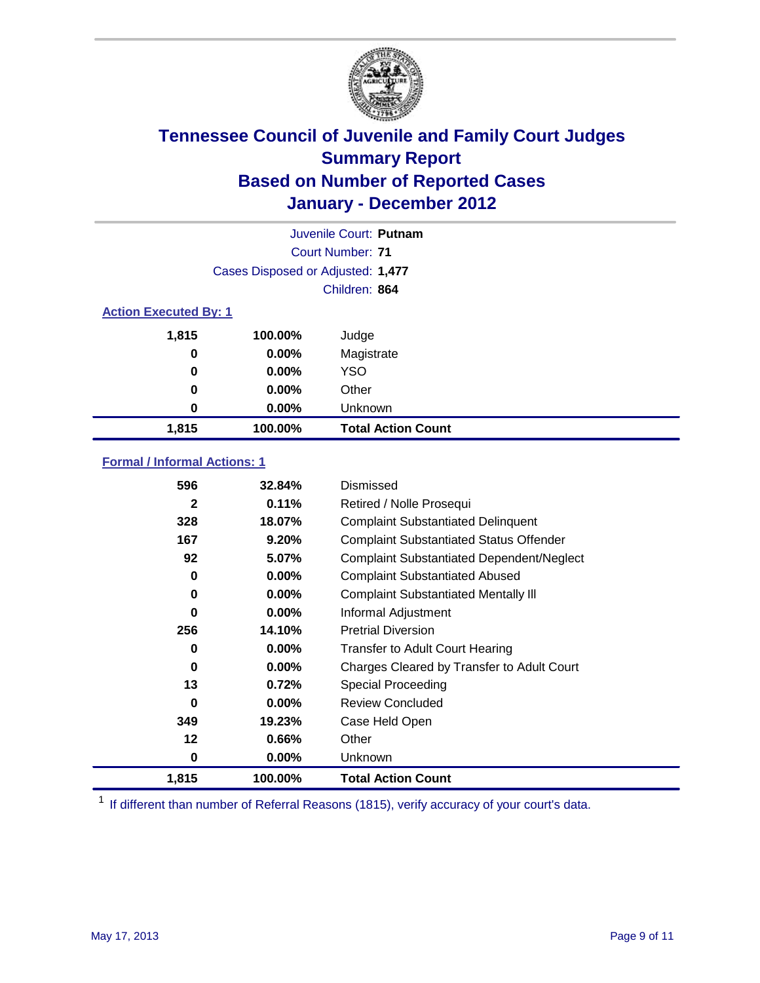

|                              | Juvenile Court: Putnam            |                           |
|------------------------------|-----------------------------------|---------------------------|
|                              |                                   | Court Number: 71          |
|                              | Cases Disposed or Adjusted: 1,477 |                           |
|                              |                                   | Children: 864             |
| <b>Action Executed By: 1</b> |                                   |                           |
| 1,815                        | 100.00%                           | Judge                     |
| 0                            | $0.00\%$                          | Magistrate                |
| 0                            | $0.00\%$                          | <b>YSO</b>                |
| 0                            | $0.00\%$                          | Other                     |
| 0                            | 0.00%                             | Unknown                   |
| 1,815                        | 100.00%                           | <b>Total Action Count</b> |

#### **Formal / Informal Actions: 1**

| 596          | 32.84%   | Dismissed                                        |
|--------------|----------|--------------------------------------------------|
| $\mathbf{2}$ | 0.11%    | Retired / Nolle Prosequi                         |
| 328          | 18.07%   | <b>Complaint Substantiated Delinquent</b>        |
| 167          | 9.20%    | <b>Complaint Substantiated Status Offender</b>   |
| 92           | 5.07%    | <b>Complaint Substantiated Dependent/Neglect</b> |
| 0            | $0.00\%$ | <b>Complaint Substantiated Abused</b>            |
| 0            | $0.00\%$ | <b>Complaint Substantiated Mentally III</b>      |
| 0            | $0.00\%$ | Informal Adjustment                              |
| 256          | 14.10%   | <b>Pretrial Diversion</b>                        |
| 0            | $0.00\%$ | <b>Transfer to Adult Court Hearing</b>           |
| 0            | $0.00\%$ | Charges Cleared by Transfer to Adult Court       |
| 13           | 0.72%    | Special Proceeding                               |
| 0            | $0.00\%$ | <b>Review Concluded</b>                          |
| 349          | 19.23%   | Case Held Open                                   |
| 12           | $0.66\%$ | Other                                            |
| 0            | $0.00\%$ | Unknown                                          |
| 1,815        | 100.00%  | Total Action Count                               |

<sup>1</sup> If different than number of Referral Reasons (1815), verify accuracy of your court's data.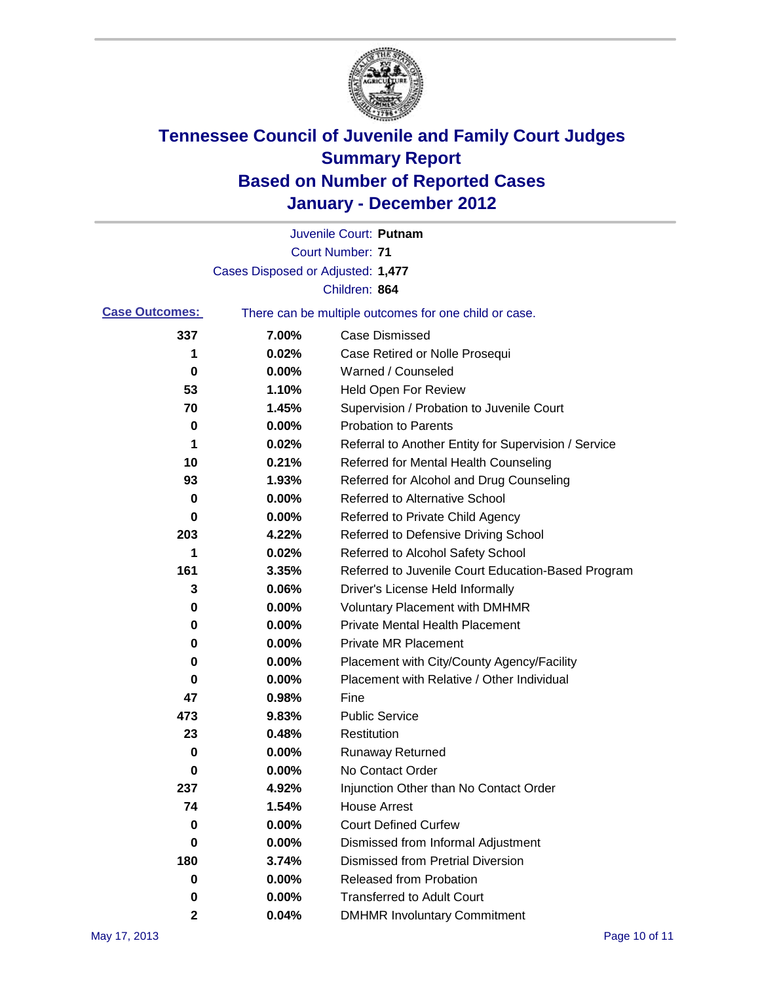

|                       |                                   | Juvenile Court: Putnam                                |
|-----------------------|-----------------------------------|-------------------------------------------------------|
|                       |                                   | <b>Court Number: 71</b>                               |
|                       | Cases Disposed or Adjusted: 1,477 |                                                       |
|                       |                                   | Children: 864                                         |
| <b>Case Outcomes:</b> |                                   | There can be multiple outcomes for one child or case. |
| 337                   | 7.00%                             | <b>Case Dismissed</b>                                 |
| 1                     | 0.02%                             | Case Retired or Nolle Prosequi                        |
| 0                     | 0.00%                             | Warned / Counseled                                    |
| 53                    | 1.10%                             | <b>Held Open For Review</b>                           |
| 70                    | 1.45%                             | Supervision / Probation to Juvenile Court             |
| 0                     | 0.00%                             | <b>Probation to Parents</b>                           |
| 1                     | 0.02%                             | Referral to Another Entity for Supervision / Service  |
| 10                    | 0.21%                             | Referred for Mental Health Counseling                 |
| 93                    | 1.93%                             | Referred for Alcohol and Drug Counseling              |
| 0                     | 0.00%                             | <b>Referred to Alternative School</b>                 |
| 0                     | 0.00%                             | Referred to Private Child Agency                      |
| 203                   | 4.22%                             | Referred to Defensive Driving School                  |
| 1                     | 0.02%                             | Referred to Alcohol Safety School                     |
| 161                   | 3.35%                             | Referred to Juvenile Court Education-Based Program    |
| 3                     | 0.06%                             | Driver's License Held Informally                      |
| 0                     | 0.00%                             | <b>Voluntary Placement with DMHMR</b>                 |
| 0                     | 0.00%                             | <b>Private Mental Health Placement</b>                |
| 0                     | 0.00%                             | <b>Private MR Placement</b>                           |
| 0                     | 0.00%                             | Placement with City/County Agency/Facility            |
| 0                     | 0.00%                             | Placement with Relative / Other Individual            |
| 47                    | 0.98%                             | Fine                                                  |
| 473                   | 9.83%                             | <b>Public Service</b>                                 |
| 23                    | 0.48%                             | Restitution                                           |
| 0                     | 0.00%                             | <b>Runaway Returned</b>                               |
| 0                     | 0.00%                             | No Contact Order                                      |
| 237                   | 4.92%                             | Injunction Other than No Contact Order                |
| 74                    | 1.54%                             | <b>House Arrest</b>                                   |
| 0                     | 0.00%                             | <b>Court Defined Curfew</b>                           |
| 0                     | 0.00%                             | Dismissed from Informal Adjustment                    |
| 180                   | 3.74%                             | <b>Dismissed from Pretrial Diversion</b>              |
| 0                     | 0.00%                             | <b>Released from Probation</b>                        |
| 0                     | 0.00%                             | <b>Transferred to Adult Court</b>                     |
| 2                     | 0.04%                             | <b>DMHMR Involuntary Commitment</b>                   |